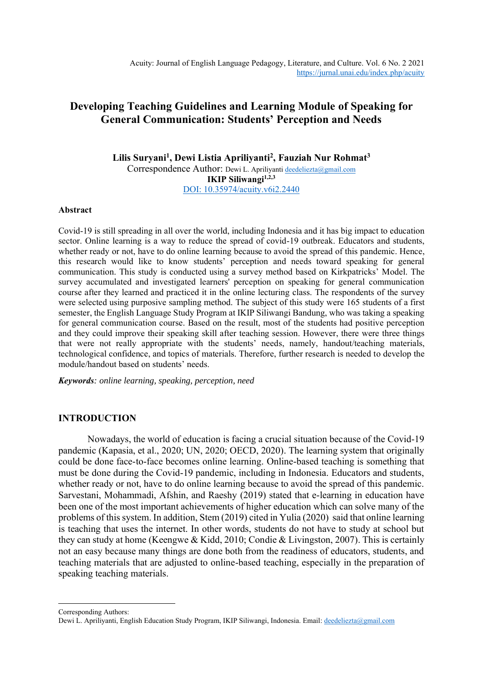# **Developing Teaching Guidelines and Learning Module of Speaking for General Communication: Students' Perception and Needs**

**Lilis Suryani<sup>1</sup> , Dewi Listia Apriliyanti<sup>2</sup> , Fauziah Nur Rohmat<sup>3</sup>** Correspondence Author: Dewi L. Apriliyant[i deedeliezta@gmail.com](mailto:deedeliezta@gmail.com) **IKIP Siliwangi1,2,3** DOI: 10.35974/acuity.v6i2.2440

### **Abstract**

Covid-19 is still spreading in all over the world, including Indonesia and it has big impact to education sector. Online learning is a way to reduce the spread of covid-19 outbreak. Educators and students, whether ready or not, have to do online learning because to avoid the spread of this pandemic. Hence, this research would like to know students' perception and needs toward speaking for general communication. This study is conducted using a survey method based on Kirkpatricks' Model. The survey accumulated and investigated learners' perception on speaking for general communication course after they learned and practiced it in the online lecturing class. The respondents of the survey were selected using purposive sampling method. The subject of this study were 165 students of a first semester, the English Language Study Program at IKIP Siliwangi Bandung, who was taking a speaking for general communication course. Based on the result, most of the students had positive perception and they could improve their speaking skill after teaching session. However, there were three things that were not really appropriate with the students' needs, namely, handout/teaching materials, technological confidence, and topics of materials. Therefore, further research is needed to develop the module/handout based on students' needs.

*Keywords: online learning, speaking, perception, need*

## **INTRODUCTION**

Nowadays, the world of education is facing a crucial situation because of the Covid-19 pandemic (Kapasia, et al., 2020; UN, 2020; OECD, 2020). The learning system that originally could be done face-to-face becomes online learning. Online-based teaching is something that must be done during the Covid-19 pandemic, including in Indonesia. Educators and students, whether ready or not, have to do online learning because to avoid the spread of this pandemic. Sarvestani, Mohammadi, Afshin, and Raeshy (2019) stated that e-learning in education have been one of the most important achievements of higher education which can solve many of the problems of this system. In addition, Stem (2019) cited in Yulia (2020) said that online learning is teaching that uses the internet. In other words, students do not have to study at school but they can study at home (Keengwe & Kidd, 2010; Condie & Livingston, 2007). This is certainly not an easy because many things are done both from the readiness of educators, students, and teaching materials that are adjusted to online-based teaching, especially in the preparation of speaking teaching materials.

Corresponding Authors:

Dewi L. Apriliyanti, English Education Study Program, IKIP Siliwangi, Indonesia. Email[: deedeliezta@gmail.com](mailto:deedeliezta@gmail.com)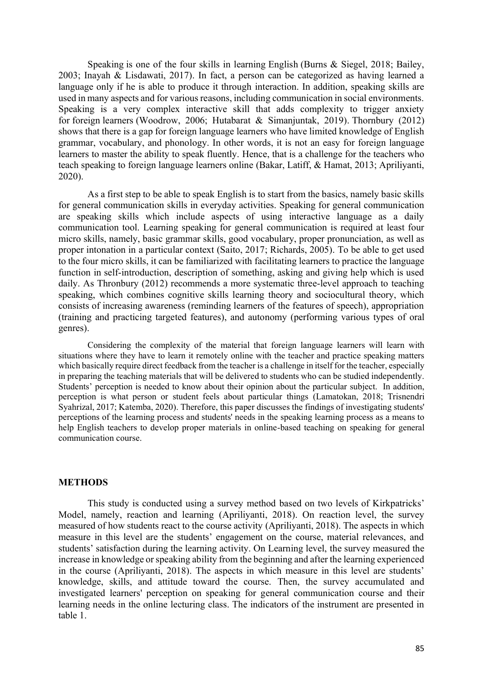Speaking is one of the four skills in learning English (Burns & Siegel, 2018; Bailey, 2003; Inayah & Lisdawati, 2017). In fact, a person can be categorized as having learned a language only if he is able to produce it through interaction. In addition, speaking skills are used in many aspects and for various reasons, including communication in social environments. Speaking is a very complex interactive skill that adds complexity to trigger anxiety for foreign learners (Woodrow, 2006; Hutabarat & Simanjuntak, 2019). Thornbury (2012) shows that there is a gap for foreign language learners who have limited knowledge of English grammar, vocabulary, and phonology. In other words, it is not an easy for foreign language learners to master the ability to speak fluently. Hence, that is a challenge for the teachers who teach speaking to foreign language learners online (Bakar, Latiff, & Hamat, 2013; Apriliyanti, 2020).

As a first step to be able to speak English is to start from the basics, namely basic skills for general communication skills in everyday activities. Speaking for general communication are speaking skills which include aspects of using interactive language as a daily communication tool. Learning speaking for general communication is required at least four micro skills, namely, basic grammar skills, good vocabulary, proper pronunciation, as well as proper intonation in a particular context (Saito, 2017; Richards, 2005). To be able to get used to the four micro skills, it can be familiarized with facilitating learners to practice the language function in self-introduction, description of something, asking and giving help which is used daily. As Thronbury (2012) recommends a more systematic three-level approach to teaching speaking, which combines cognitive skills learning theory and sociocultural theory, which consists of increasing awareness (reminding learners of the features of speech), appropriation (training and practicing targeted features), and autonomy (performing various types of oral genres).

Considering the complexity of the material that foreign language learners will learn with situations where they have to learn it remotely online with the teacher and practice speaking matters which basically require direct feedback from the teacher is a challenge in itself for the teacher, especially in preparing the teaching materials that will be delivered to students who can be studied independently. Students' perception is needed to know about their opinion about the particular subject. In addition, perception is what person or student feels about particular things (Lamatokan, 2018; Trisnendri Syahrizal, 2017; Katemba, 2020). Therefore, this paper discusses the findings of investigating students' perceptions of the learning process and students' needs in the speaking learning process as a means to help English teachers to develop proper materials in online-based teaching on speaking for general communication course.

### **METHODS**

This study is conducted using a survey method based on two levels of Kirkpatricks' Model, namely, reaction and learning (Apriliyanti, 2018). On reaction level, the survey measured of how students react to the course activity (Apriliyanti, 2018). The aspects in which measure in this level are the students' engagement on the course, material relevances, and students' satisfaction during the learning activity. On Learning level, the survey measured the increase in knowledge or speaking ability from the beginning and after the learning experienced in the course (Apriliyanti, 2018). The aspects in which measure in this level are students' knowledge, skills, and attitude toward the course. Then, the survey accumulated and investigated learners' perception on speaking for general communication course and their learning needs in the online lecturing class. The indicators of the instrument are presented in table 1.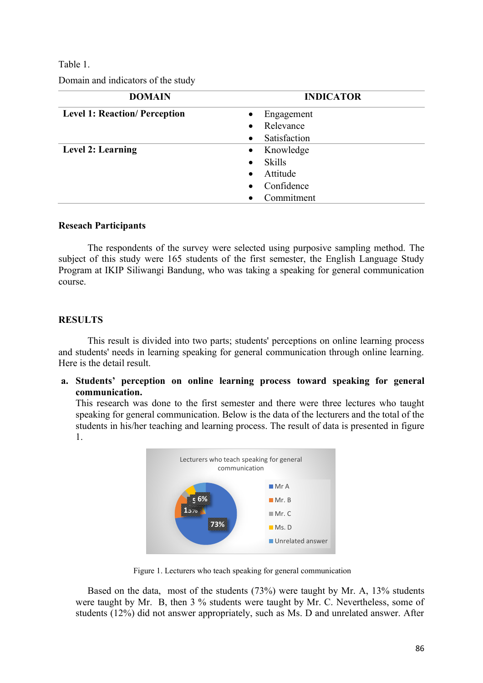## Table 1.

Domain and indicators of the study

| <b>DOMAIN</b>                        | <b>INDICATOR</b>          |  |  |  |  |
|--------------------------------------|---------------------------|--|--|--|--|
| <b>Level 1: Reaction/ Perception</b> | Engagement                |  |  |  |  |
|                                      | Relevance                 |  |  |  |  |
|                                      | Satisfaction<br>$\bullet$ |  |  |  |  |
| <b>Level 2: Learning</b>             | Knowledge<br>$\bullet$    |  |  |  |  |
|                                      | <b>Skills</b>             |  |  |  |  |
|                                      | Attitude                  |  |  |  |  |
|                                      | Confidence                |  |  |  |  |
|                                      | Commitment                |  |  |  |  |

## **Reseach Participants**

The respondents of the survey were selected using purposive sampling method. The subject of this study were 165 students of the first semester, the English Language Study Program at IKIP Siliwangi Bandung, who was taking a speaking for general communication course.

## **RESULTS**

This result is divided into two parts; students' perceptions on online learning process and students' needs in learning speaking for general communication through online learning. Here is the detail result.

**a. Students' perception on online learning process toward speaking for general communication.**

This research was done to the first semester and there were three lectures who taught speaking for general communication. Below is the data of the lecturers and the total of the students in his/her teaching and learning process. The result of data is presented in figure 1.



Figure 1. Lecturers who teach speaking for general communication

Based on the data, most of the students (73%) were taught by Mr. A, 13% students were taught by Mr. B, then 3 % students were taught by Mr. C. Nevertheless, some of students (12%) did not answer appropriately, such as Ms. D and unrelated answer. After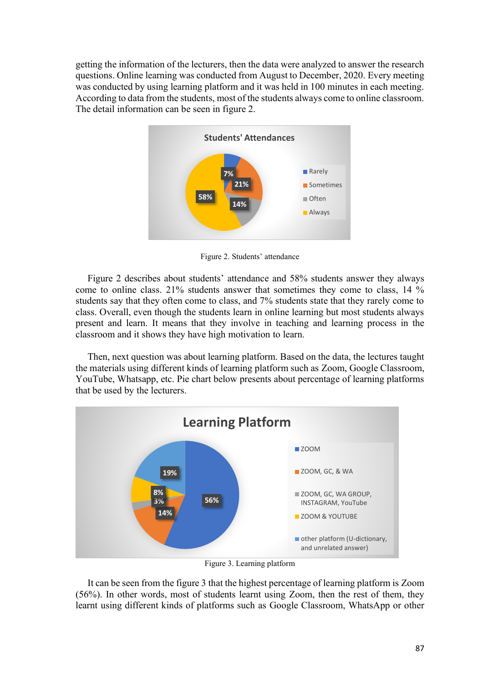getting the information of the lecturers, then the data were analyzed to answer the research questions. Online learning was conducted from August to December, 2020. Every meeting was conducted by using learning platform and it was held in 100 minutes in each meeting. According to data from the students, most of the students always come to online classroom. The detail information can be seen in figure 2.



Figure 2. Students' attendance

Figure 2 describes about students' attendance and 58% students answer they always come to online class. 21% students answer that sometimes they come to class, 14 % students say that they often come to class, and 7% students state that they rarely come to class. Overall, even though the students learn in online learning but most students always present and learn. It means that they involve in teaching and learning process in the classroom and it shows they have high motivation to learn.

Then, next question was about learning platform. Based on the data, the lectures taught the materials using different kinds of learning platform such as Zoom, Google Classroom, YouTube, Whatsapp, etc. Pie chart below presents about percentage of learning platforms that be used by the lecturers.



Figure 3. Learning platform

It can be seen from the figure 3 that the highest percentage of learning platform is Zoom (56%). In other words, most of students learnt using Zoom, then the rest of them, they learnt using different kinds of platforms such as Google Classroom, WhatsApp or other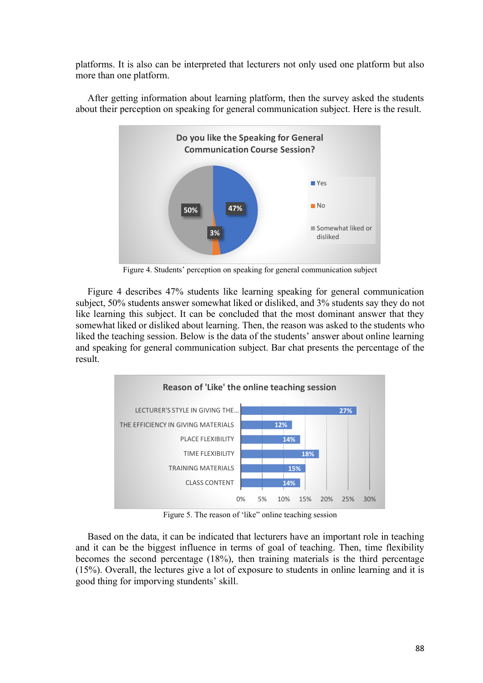platforms. It is also can be interpreted that lecturers not only used one platform but also more than one platform.



After getting information about learning platform, then the survey asked the students about their perception on speaking for general communication subject. Here is the result.

Figure 4. Students' perception on speaking for general communication subject

Figure 4 describes 47% students like learning speaking for general communication subject, 50% students answer somewhat liked or disliked, and 3% students say they do not like learning this subject. It can be concluded that the most dominant answer that they somewhat liked or disliked about learning. Then, the reason was asked to the students who liked the teaching session. Below is the data of the students' answer about online learning and speaking for general communication subject. Bar chat presents the percentage of the result.



Figure 5. The reason of 'like" online teaching session

Based on the data, it can be indicated that lecturers have an important role in teaching and it can be the biggest influence in terms of goal of teaching. Then, time flexibility becomes the second percentage (18%), then training materials is the third percentage (15%). Overall, the lectures give a lot of exposure to students in online learning and it is good thing for imporving stundents' skill.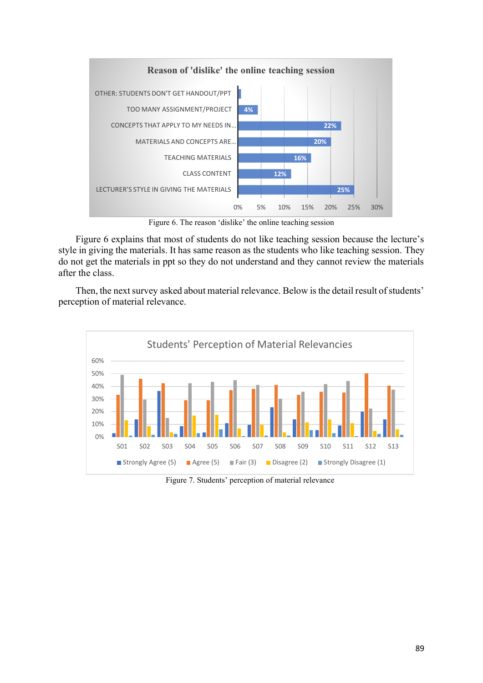

Figure 6. The reason 'dislike' the online teaching session

Figure 6 explains that most of students do not like teaching session because the lecture's style in giving the materials. It has same reason as the students who like teaching session. They do not get the materials in ppt so they do not understand and they cannot review the materials after the class.

Then, the next survey asked about material relevance. Below is the detail result of students' perception of material relevance.



Figure 7. Students' perception of material relevance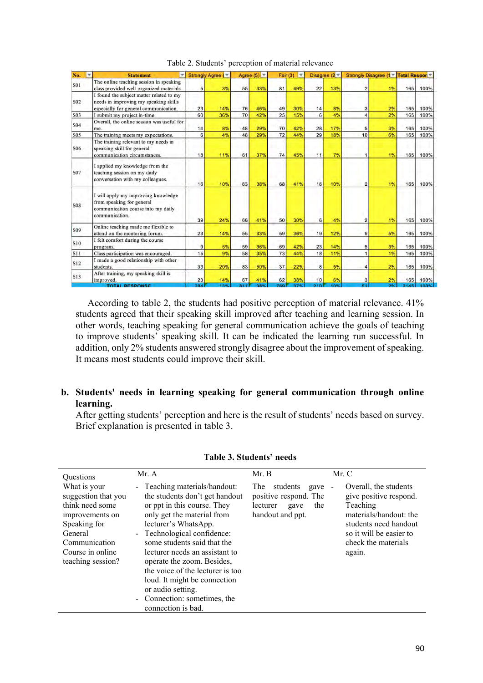| No.<br>w   | $\overline{ }$<br><b>Statement</b>                                                                                         | Strongly Agree ( |     |     | Agree $(5)$ $\overline{ }$ | Fair(3) | $\mathbb{R}^n$ |     | Disagree $(2 - )$ | Strongly Disagree (1 Total Respon |    |      |      |
|------------|----------------------------------------------------------------------------------------------------------------------------|------------------|-----|-----|----------------------------|---------|----------------|-----|-------------------|-----------------------------------|----|------|------|
| S01        | The online teaching session in speaking<br>class provided well-organized materials.                                        | 5                | 3%  | 55  | 33%                        | 81      | 49%            | 22  | 13%               | $\overline{2}$                    | 1% | 165  | 100% |
| S02        | I found the subject matter related to my<br>needs in improving my speaking skills<br>especially for general communication. | 23               | 14% | 76  | 46%                        | 49      | 30%            | 14  | 8%                | 3                                 | 2% | 165  | 100% |
| S03        | I submit my project in-time.                                                                                               | 60               | 36% | 70  | 42%                        | 25      | 15%            | 6   | 4%                | $\overline{4}$                    | 2% | 165  | 100% |
| S04        | Overall, the online session was useful for<br>me.                                                                          | 14               | 8%  | 48  | 29%                        | 70      | 42%            | 28  | 17%               | 5                                 | 3% | 165  | 100% |
| S05        | The training meets my expectations.                                                                                        | 6                | 4%  | 48  | 29%                        | 72      | 44%            | 29  | 18%               | 10                                | 6% | 165  | 100% |
| S06        | The training relevant to my needs in<br>speaking skill for general<br>communication circumstances.                         | 18               | 11% | 61  | 37%                        | 74      | 45%            | 11  | 7%                |                                   | 1% | 165  | 100% |
| S07        | I applied my knowledge from the<br>teaching session on my daily<br>conversation with my colleagues.                        | 16               | 10% | 63  | 38%                        | 68      | 41%            | 16  | 10%               | $\overline{2}$                    | 1% | 165  | 100% |
| <b>S08</b> | I will apply my improving knowledge<br>from speaking for general<br>communication course into my daily<br>communication.   | 39               | 24% | 68  | 41%                        | 50      | 30%            | 6   | 4%                | $\overline{2}$                    | 1% | 165  | 100% |
| S09        | Online teaching made me flexible to<br>attend on the mentoring forum.                                                      | 23               | 14% | 55  | 33%                        | 59      | 36%            | 19  | 12%               | 9                                 | 5% | 165  | 100% |
| S10        | I felt comfort during the course<br>program.                                                                               | 9                | 5%  | 59  | 36%                        | 69      | 42%            | 23  | 14%               | 5                                 | 3% | 165  | 100% |
| <b>S11</b> | Class participation was encouraged.                                                                                        | 15               | 9%  | 58  | 35%                        | 73      | 44%            | 18  | 11%               |                                   | 1% | 165  | 100% |
| S12        | I made a good relationship with other<br>students.                                                                         | 33               | 20% | 83  | 50%                        | 37      | 22%            | 8   | 5%                | 4                                 | 2% | 165  | 100% |
| S13        | After training, my speaking skill is<br>improved.                                                                          | 23               | 14% | 67  | 41%                        | 62      | 38%            | 10  | 6%                | 3                                 | 2% | 165  | 100% |
|            | <b>TOTAL RESPONSE</b>                                                                                                      | <b>284</b>       | 13% | R11 | 38%                        | 789     | 37%            | 210 | 10%               | ĸŦ                                | 9% | 2145 | 100% |

Table 2. Students' perception of material relevance

According to table 2, the students had positive perception of material relevance. 41% students agreed that their speaking skill improved after teaching and learning session. In other words, teaching speaking for general communication achieve the goals of teaching to improve students' speaking skill. It can be indicated the learning run successful. In addition, only 2% students answered strongly disagree about the improvement of speaking. It means most students could improve their skill.

## **b. Students' needs in learning speaking for general communication through online learning.**

After getting students' perception and here is the result of students' needs based on survey. Brief explanation is presented in table 3.

| <b>Ouestions</b>                                                                                                                                               | Mr. A                                                                                                                                                                                                                                                                                                                                                                                                                             | Mr. B                                                                                                  | Mr. C                                                                                                                                                                                        |
|----------------------------------------------------------------------------------------------------------------------------------------------------------------|-----------------------------------------------------------------------------------------------------------------------------------------------------------------------------------------------------------------------------------------------------------------------------------------------------------------------------------------------------------------------------------------------------------------------------------|--------------------------------------------------------------------------------------------------------|----------------------------------------------------------------------------------------------------------------------------------------------------------------------------------------------|
| What is your<br>suggestion that you<br>think need some<br>improvements on<br>Speaking for<br>General<br>Communication<br>Course in online<br>teaching session? | - Teaching materials/handout:<br>the students don't get handout<br>or ppt in this course. They<br>only get the material from<br>lecturer's WhatsApp.<br>- Technological confidence:<br>some students said that the<br>lecturer needs an assistant to<br>operate the zoom. Besides,<br>the voice of the lecturer is too<br>loud. It might be connection<br>or audio setting.<br>- Connection: sometimes, the<br>connection is bad. | <b>The</b><br>students<br>gave<br>positive respond. The<br>the<br>lecturer<br>gave<br>handout and ppt. | Overall, the students<br>$\overline{a}$<br>give positive respond.<br>Teaching<br>materials/handout: the<br>students need handout<br>so it will be easier to<br>check the materials<br>again. |

### **Table 3. Students' needs**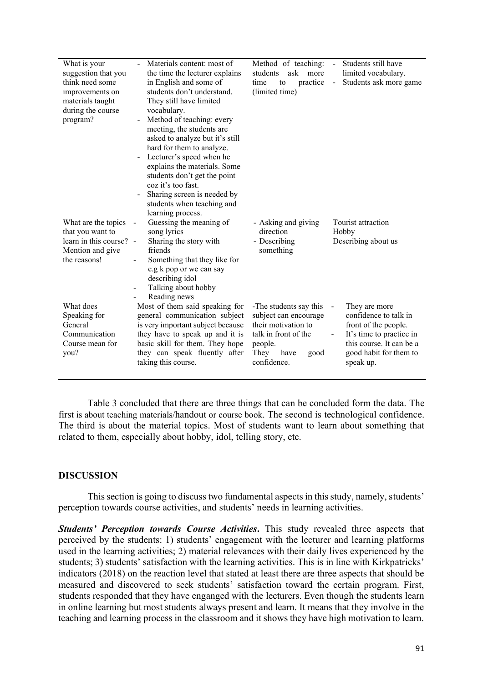| What is your<br>suggestion that you<br>think need some<br>improvements on<br>materials taught<br>during the course<br>program? | Materials content: most of<br>the time the lecturer explains<br>in English and some of<br>students don't understand.<br>They still have limited<br>vocabulary.<br>Method of teaching: every<br>meeting, the students are<br>asked to analyze but it's still<br>hard for them to analyze.<br>Lecturer's speed when he<br>explains the materials. Some<br>students don't get the point<br>coz it's too fast.<br>Sharing screen is needed by<br>students when teaching and<br>learning process. | Method of teaching:<br>ask more<br>students<br>practice<br>time<br>to<br>(limited time)                                                          | Students still have<br>$\blacksquare$<br>limited vocabulary.<br>$\Box$<br>Students ask more game                                                                        |
|--------------------------------------------------------------------------------------------------------------------------------|----------------------------------------------------------------------------------------------------------------------------------------------------------------------------------------------------------------------------------------------------------------------------------------------------------------------------------------------------------------------------------------------------------------------------------------------------------------------------------------------|--------------------------------------------------------------------------------------------------------------------------------------------------|-------------------------------------------------------------------------------------------------------------------------------------------------------------------------|
| What are the topics<br>that you want to                                                                                        | Guessing the meaning of<br>song lyrics                                                                                                                                                                                                                                                                                                                                                                                                                                                       | - Asking and giving<br>direction                                                                                                                 | Tourist attraction<br>Hobby                                                                                                                                             |
| learn in this course?<br>Mention and give<br>the reasons!                                                                      | Sharing the story with<br>$\overline{a}$<br>friends<br>Something that they like for<br>e.g k pop or we can say<br>describing idol<br>Talking about hobby<br>$\overline{\phantom{0}}$<br>Reading news                                                                                                                                                                                                                                                                                         | - Describing<br>something                                                                                                                        | Describing about us                                                                                                                                                     |
| What does<br>Speaking for<br>General<br>Communication<br>Course mean for<br>you?                                               | Most of them said speaking for<br>general communication subject<br>is very important subject because<br>they have to speak up and it is<br>basic skill for them. They hope<br>they can speak fluently after<br>taking this course.                                                                                                                                                                                                                                                           | -The students say this<br>subject can encourage<br>their motivation to<br>talk in front of the<br>people.<br>They<br>have<br>good<br>confidence. | They are more<br>$\sim$<br>confidence to talk in<br>front of the people.<br>It's time to practice in<br>this course. It can be a<br>good habit for them to<br>speak up. |
|                                                                                                                                |                                                                                                                                                                                                                                                                                                                                                                                                                                                                                              |                                                                                                                                                  |                                                                                                                                                                         |

Table 3 concluded that there are three things that can be concluded form the data. The first is about teaching materials/handout or course book. The second is technological confidence. The third is about the material topics. Most of students want to learn about something that related to them, especially about hobby, idol, telling story, etc.

## **DISCUSSION**

This section is going to discuss two fundamental aspects in this study, namely, students' perception towards course activities, and students' needs in learning activities.

*Students' Perception towards Course Activities***.** This study revealed three aspects that perceived by the students: 1) students' engagement with the lecturer and learning platforms used in the learning activities; 2) material relevances with their daily lives experienced by the students; 3) students' satisfaction with the learning activities. This is in line with Kirkpatricks' indicators (2018) on the reaction level that stated at least there are three aspects that should be measured and discovered to seek students' satisfaction toward the certain program. First, students responded that they have enganged with the lecturers. Even though the students learn in online learning but most students always present and learn. It means that they involve in the teaching and learning process in the classroom and it shows they have high motivation to learn.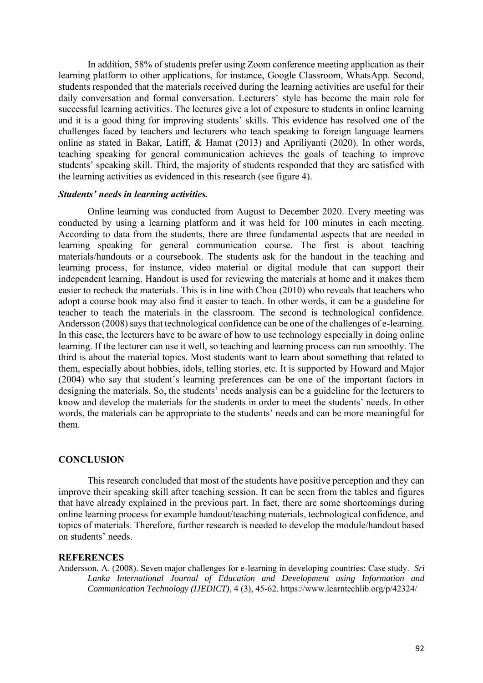In addition, 58% of students prefer using Zoom conference meeting application as their learning platform to other applications, for instance, Google Classroom, WhatsApp. Second, students responded that the materials received during the learning activities are useful for their daily conversation and formal conversation. Lecturers' style has become the main role for successful learning activities. The lectures give a lot of exposure to students in online learning and it is a good thing for improving students' skills. This evidence has resolved one of the challenges faced by teachers and lecturers who teach speaking to foreign language learners online as stated in Bakar, Latiff, & Hamat (2013) and Apriliyanti (2020). In other words, teaching speaking for general communication achieves the goals of teaching to improve students' speaking skill. Third, the majority of students responded that they are satisfied with the learning activities as evidenced in this research (see figure 4).

### *Students' needs in learning activities.*

Online learning was conducted from August to December 2020. Every meeting was conducted by using a learning platform and it was held for 100 minutes in each meeting. According to data from the students, there are three fundamental aspects that are needed in learning speaking for general communication course. The first is about teaching materials/handouts or a coursebook. The students ask for the handout in the teaching and learning process, for instance, video material or digital module that can support their independent learning. Handout is used for reviewing the materials at home and it makes them easier to recheck the materials. This is in line with Chou (2010) who reveals that teachers who adopt a course book may also find it easier to teach. In other words, it can be a guideline for teacher to teach the materials in the classroom. The second is technological confidence. Andersson (2008) says that technological confidence can be one of the challenges of e-learning. In this case, the lecturers have to be aware of how to use technology especially in doing online learning. If the lecturer can use it well, so teaching and learning process can run smoothly. The third is about the material topics. Most students want to learn about something that related to them, especially about hobbies, idols, telling stories, etc. It is supported by Howard and Major (2004) who say that student's learning preferences can be one of the important factors in designing the materials. So, the students' needs analysis can be a guideline for the lecturers to know and develop the materials for the students in order to meet the students' needs. In other words, the materials can be appropriate to the students' needs and can be more meaningful for them.

## **CONCLUSION**

This research concluded that most of the students have positive perception and they can improve their speaking skill after teaching session. It can be seen from the tables and figures that have already explained in the previous part. In fact, there are some shortcomings during online learning process for example handout/teaching materials, technological confidence, and topics of materials. Therefore, further research is needed to develop the module/handout based on students' needs.

#### **REFERENCES**

Andersson, A. (2008). Seven major challenges for e-learning in developing countries: Case study. *Sri Lanka International Journal of Education and Development using Information and Communication Technology (IJEDICT)*, 4 (3), 45-62. https://www.learntechlib.org/p/42324/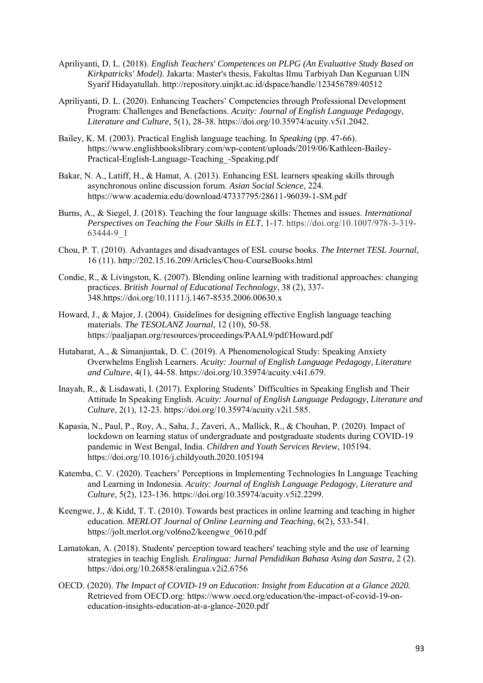- Apriliyanti, D. L. (2018). *English Teachers' Competences on PLPG (An Evaluative Study Based on Kirkpatricks' Model).* Jakarta: Master's thesis, Fakultas Ilmu Tarbiyah Dan Keguruan UIN Syarif Hidayatullah. http://repository.uinjkt.ac.id/dspace/handle/123456789/40512
- Apriliyanti, D. L. (2020). Enhancing Teachers' Competencies through Professional Development Program: Challenges and Benefactions. *Acuity: Journal of English Language Pedagogy, Literature and Culture*, 5(1), 28-38. https://doi.org/10.35974/acuity.v5i1.2042.
- Bailey, K. M. (2003). Practical English language teaching. In *Speaking* (pp. 47-66). https://www.englishbookslibrary.com/wp-content/uploads/2019/06/Kathleen-Bailey-Practical-English-Language-Teaching\_-Speaking.pdf
- Bakar, N. A., Latiff, H., & Hamat, A. (2013). Enhancing ESL learners speaking skills through asynchronous online discussion forum. *Asian Social Science*, 224. https://www.academia.edu/download/47337795/28611-96039-1-SM.pdf
- Burns, A., & Siegel, J. (2018). Teaching the four language skills: Themes and issues. *International Perspectives on Teaching the Four Skills in ELT*, 1-17. https://doi.org/10.1007/978-3-319- 63444-9\_1
- Chou, P. T. (2010). Advantages and disadvantages of ESL course books. *The Internet TESL Journal*, 16 (11). http://202.15.16.209/Articles/Chou-CourseBooks.html
- Condie, R., & Livingston, K. (2007). Blending online learning with traditional approaches: changing practices. *British Journal of Educational Technology*, 38 (2), 337- 348.https://doi.org/10.1111/j.1467-8535.2006.00630.x
- Howard, J., & Major, J. (2004). Guidelines for designing effective English language teaching materials. *The TESOLANZ Journal*, 12 (10), 50-58. https://paaljapan.org/resources/proceedings/PAAL9/pdf/Howard.pdf
- Hutabarat, A., & Simanjuntak, D. C. (2019). A Phenomenological Study: Speaking Anxiety Overwhelms English Learners. *Acuity: Journal of English Language Pedagogy, Literature and Culture*, 4(1), 44-58. https://doi.org/10.35974/acuity.v4i1.679.
- Inayah, R., & Lisdawati, I. (2017). Exploring Students' Difficulties in Speaking English and Their Attitude In Speaking English. *Acuity: Journal of English Language Pedagogy, Literature and Culture*, 2(1), 12-23. https://doi.org/10.35974/acuity.v2i1.585.
- Kapasia, N., Paul, P., Roy, A., Saha, J., Zaveri, A., Mallick, R., & Chouhan, P. (2020). Impact of lockdown on learning status of undergraduate and postgraduate students during COVID-19 pandemic in West Bengal, India. *Children and Youth Services Review*, 105194. https://doi.org/10.1016/j.childyouth.2020.105194
- Katemba, C. V. (2020). Teachers' Perceptions in Implementing Technologies In Language Teaching and Learning in Indonesia. *Acuity: Journal of English Language Pedagogy, Literature and Culture*, 5(2), 123-136. https://doi.org/10.35974/acuity.v5i2.2299.
- Keengwe, J., & Kidd, T. T. (2010). Towards best practices in online learning and teaching in higher education. *MERLOT Journal of Online Learning and Teaching*, 6(2), 533-541. https://jolt.merlot.org/vol6no2/keengwe\_0610.pdf
- Lamatokan, A. (2018). Students' perception toward teachers' teaching style and the use of learning strategies in teachig English. *Eralingua: Jurnal Pendidikan Bahasa Asing dan Sastra*, 2 (2). https://doi.org/10.26858/eralingua.v2i2.6756
- OECD. (2020). *The Impact of COVID-19 on Education: Insight from Education at a Glance 2020.* Retrieved from OECD.org: https://www.oecd.org/education/the-impact-of-covid-19-oneducation-insights-education-at-a-glance-2020.pdf